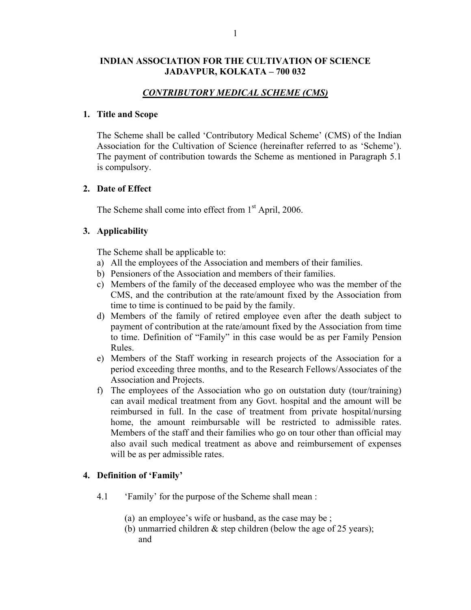## **INDIAN ASSOCIATION FOR THE CULTIVATION OF SCIENCE JADAVPUR, KOLKATA – 700 032**

# *CONTRIBUTORY MEDICAL SCHEME (CMS)*

### **1. Title and Scope**

The Scheme shall be called 'Contributory Medical Scheme' (CMS) of the Indian Association for the Cultivation of Science (hereinafter referred to as 'Scheme'). The payment of contribution towards the Scheme as mentioned in Paragraph 5.1 is compulsory.

## **2. Date of Effect**

The Scheme shall come into effect from  $1<sup>st</sup>$  April, 2006.

## **3. Applicability**

The Scheme shall be applicable to:

- a) All the employees of the Association and members of their families.
- b) Pensioners of the Association and members of their families.
- c) Members of the family of the deceased employee who was the member of the CMS, and the contribution at the rate/amount fixed by the Association from time to time is continued to be paid by the family.
- d) Members of the family of retired employee even after the death subject to payment of contribution at the rate/amount fixed by the Association from time to time. Definition of "Family" in this case would be as per Family Pension Rules.
- e) Members of the Staff working in research projects of the Association for a period exceeding three months, and to the Research Fellows/Associates of the Association and Projects.
- f) The employees of the Association who go on outstation duty (tour/training) can avail medical treatment from any Govt. hospital and the amount will be reimbursed in full. In the case of treatment from private hospital/nursing home, the amount reimbursable will be restricted to admissible rates. Members of the staff and their families who go on tour other than official may also avail such medical treatment as above and reimbursement of expenses will be as per admissible rates.

## **4. Definition of 'Family'**

- 4.1 'Family' for the purpose of the Scheme shall mean :
	- (a) an employee's wife or husband, as the case may be ;
	- (b) unmarried children  $&$  step children (below the age of 25 years); and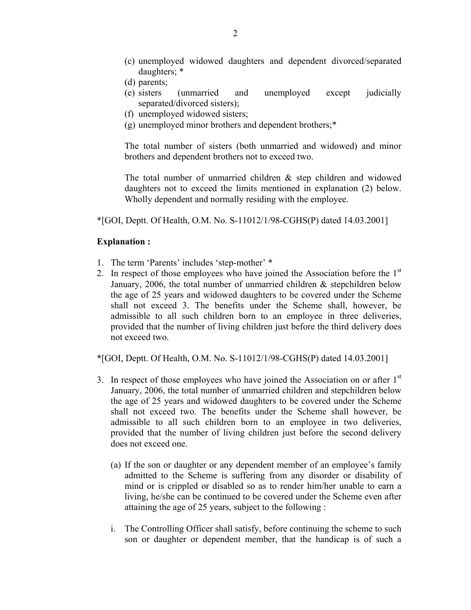- (c) unemployed widowed daughters and dependent divorced/separated daughters; \*
- (d) parents;
- (e) sisters (unmarried and unemployed except judicially separated/divorced sisters);
- (f) unemployed widowed sisters;
- (g) unemployed minor brothers and dependent brothers;\*

The total number of sisters (both unmarried and widowed) and minor brothers and dependent brothers not to exceed two.

The total number of unmarried children & step children and widowed daughters not to exceed the limits mentioned in explanation (2) below. Wholly dependent and normally residing with the employee.

 $*$ [GOI, Deptt. Of Health, O.M. No. S-11012/1/98-CGHS(P) dated 14.03.2001]

## **Explanation :**

- 1. The term 'Parents' includes 'step-mother' \*
- 2. In respect of those employees who have joined the Association before the  $1<sup>st</sup>$ January, 2006, the total number of unmarried children  $\&$  stepchildren below the age of 25 years and widowed daughters to be covered under the Scheme shall not exceed 3. The benefits under the Scheme shall, however, be admissible to all such children born to an employee in three deliveries, provided that the number of living children just before the third delivery does not exceed two.

\*[GOI, Deptt. Of Health, O.M. No. S-11012/1/98-CGHS(P) dated 14.03.2001]

- 3. In respect of those employees who have joined the Association on or after  $1<sup>st</sup>$ January, 2006, the total number of unmarried children and stepchildren below the age of 25 years and widowed daughters to be covered under the Scheme shall not exceed two. The benefits under the Scheme shall however, be admissible to all such children born to an employee in two deliveries, provided that the number of living children just before the second delivery does not exceed one.
	- (a) If the son or daughter or any dependent member of an employee's family admitted to the Scheme is suffering from any disorder or disability of mind or is crippled or disabled so as to render him/her unable to earn a living, he/she can be continued to be covered under the Scheme even after attaining the age of 25 years, subject to the following :
	- i. The Controlling Officer shall satisfy, before continuing the scheme to such son or daughter or dependent member, that the handicap is of such a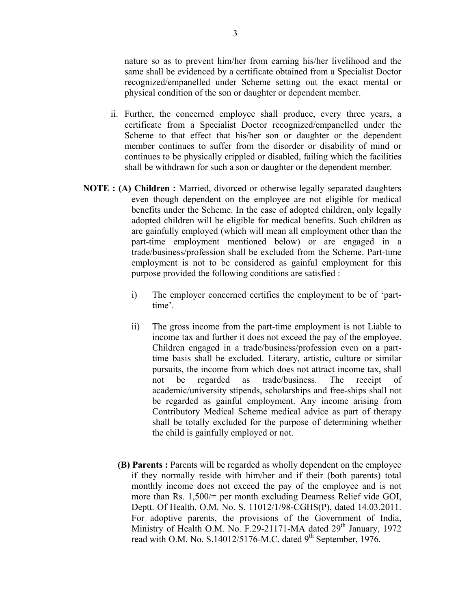nature so as to prevent him/her from earning his/her livelihood and the same shall be evidenced by a certificate obtained from a Specialist Doctor recognized/empanelled under Scheme setting out the exact mental or physical condition of the son or daughter or dependent member.

- ii. Further, the concerned employee shall produce, every three years, a certificate from a Specialist Doctor recognized/empanelled under the Scheme to that effect that his/her son or daughter or the dependent member continues to suffer from the disorder or disability of mind or continues to be physically crippled or disabled, failing which the facilities shall be withdrawn for such a son or daughter or the dependent member.
- **NOTE : (A) Children :** Married, divorced or otherwise legally separated daughters even though dependent on the employee are not eligible for medical benefits under the Scheme. In the case of adopted children, only legally adopted children will be eligible for medical benefits. Such children as are gainfully employed (which will mean all employment other than the part-time employment mentioned below) or are engaged in a trade/business/profession shall be excluded from the Scheme. Part-time employment is not to be considered as gainful employment for this purpose provided the following conditions are satisfied :
	- i) The employer concerned certifies the employment to be of 'parttime'.
	- ii) The gross income from the part-time employment is not Liable to income tax and further it does not exceed the pay of the employee. Children engaged in a trade/business/profession even on a parttime basis shall be excluded. Literary, artistic, culture or similar pursuits, the income from which does not attract income tax, shall not be regarded as trade/business. The receipt of academic/university stipends, scholarships and free-ships shall not be regarded as gainful employment. Any income arising from Contributory Medical Scheme medical advice as part of therapy shall be totally excluded for the purpose of determining whether the child is gainfully employed or not.
	- **(B) Parents :** Parents will be regarded as wholly dependent on the employee if they normally reside with him/her and if their (both parents) total monthly income does not exceed the pay of the employee and is not more than Rs. 1,500/= per month excluding Dearness Relief vide GOI, Deptt. Of Health, O.M. No. S. 11012/1/98-CGHS(P), dated 14.03.2011. For adoptive parents, the provisions of the Government of India, Ministry of Health O.M. No. F.29-21171-MA dated 29<sup>th</sup> January, 1972 read with O.M. No. S.14012/5176-M.C. dated 9<sup>th</sup> September, 1976.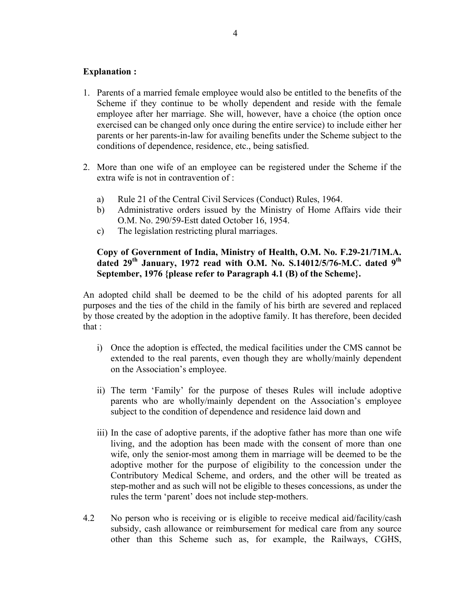## **Explanation :**

- 1. Parents of a married female employee would also be entitled to the benefits of the Scheme if they continue to be wholly dependent and reside with the female employee after her marriage. She will, however, have a choice (the option once exercised can be changed only once during the entire service) to include either her parents or her parents-in-law for availing benefits under the Scheme subject to the conditions of dependence, residence, etc., being satisfied.
- 2. More than one wife of an employee can be registered under the Scheme if the extra wife is not in contravention of :
	- a) Rule 21 of the Central Civil Services (Conduct) Rules, 1964.
	- b) Administrative orders issued by the Ministry of Home Affairs vide their O.M. No. 290/59-Estt dated October 16, 1954.
	- c) The legislation restricting plural marriages.

# **Copy of Government of India, Ministry of Health, O.M. No. F.29-21/71M.A. dated 29th January, 1972 read with O.M. No. S.14012/5/76-M.C. dated 9th September, 1976 {please refer to Paragraph 4.1 (B) of the Scheme}.**

An adopted child shall be deemed to be the child of his adopted parents for all purposes and the ties of the child in the family of his birth are severed and replaced by those created by the adoption in the adoptive family. It has therefore, been decided that :

- i) Once the adoption is effected, the medical facilities under the CMS cannot be extended to the real parents, even though they are wholly/mainly dependent on the Association's employee.
- ii) The term 'Family' for the purpose of theses Rules will include adoptive parents who are wholly/mainly dependent on the Association's employee subject to the condition of dependence and residence laid down and
- iii) In the case of adoptive parents, if the adoptive father has more than one wife living, and the adoption has been made with the consent of more than one wife, only the senior-most among them in marriage will be deemed to be the adoptive mother for the purpose of eligibility to the concession under the Contributory Medical Scheme, and orders, and the other will be treated as step-mother and as such will not be eligible to theses concessions, as under the rules the term 'parent' does not include step-mothers.
- 4.2 No person who is receiving or is eligible to receive medical aid/facility/cash subsidy, cash allowance or reimbursement for medical care from any source other than this Scheme such as, for example, the Railways, CGHS,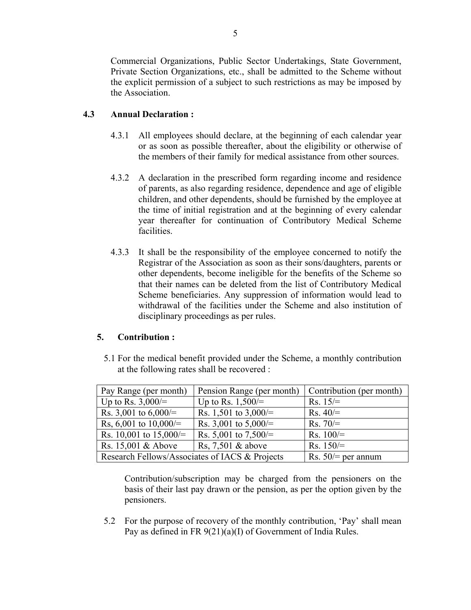Commercial Organizations, Public Sector Undertakings, State Government, Private Section Organizations, etc., shall be admitted to the Scheme without the explicit permission of a subject to such restrictions as may be imposed by the Association.

# **4.3 Annual Declaration :**

- 4.3.1 All employees should declare, at the beginning of each calendar year or as soon as possible thereafter, about the eligibility or otherwise of the members of their family for medical assistance from other sources.
- 4.3.2 A declaration in the prescribed form regarding income and residence of parents, as also regarding residence, dependence and age of eligible children, and other dependents, should be furnished by the employee at the time of initial registration and at the beginning of every calendar year thereafter for continuation of Contributory Medical Scheme facilities.
- 4.3.3 It shall be the responsibility of the employee concerned to notify the Registrar of the Association as soon as their sons/daughters, parents or other dependents, become ineligible for the benefits of the Scheme so that their names can be deleted from the list of Contributory Medical Scheme beneficiaries. Any suppression of information would lead to withdrawal of the facilities under the Scheme and also institution of disciplinary proceedings as per rules.

# **5. Contribution :**

5.1 For the medical benefit provided under the Scheme, a monthly contribution at the following rates shall be recovered :

| Pay Range (per month)                          | Pension Range (per month) | Contribution (per month) |
|------------------------------------------------|---------------------------|--------------------------|
| Up to Rs. $3,000/=$                            | Up to Rs. $1,500/=$       | $Rs. 15/=$               |
| Rs. 3,001 to $6,000/=$                         | Rs. 1,501 to 3,000/=      | $Rs. 40/=$               |
| Rs, 6,001 to $10,000/$ =                       | Rs. 3,001 to 5,000/=      | $Rs. 70/=$               |
| Rs. 10,001 to 15,000/=                         | Rs. 5,001 to 7,500/=      | Rs. $100/=$              |
| Rs. 15,001 & Above                             | Rs, $7,501$ & above       | Rs. $150/=$              |
| Research Fellows/Associates of IACS & Projects |                           | Rs. $50$ /= per annum    |

Contribution/subscription may be charged from the pensioners on the basis of their last pay drawn or the pension, as per the option given by the pensioners.

5.2 For the purpose of recovery of the monthly contribution, 'Pay' shall mean Pay as defined in FR 9(21)(a)(I) of Government of India Rules.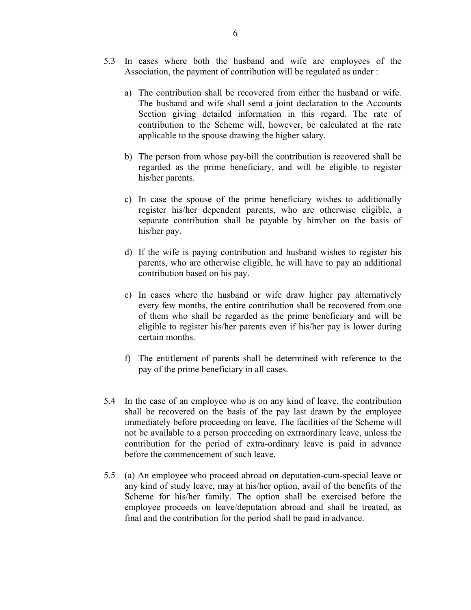- 5.3 In cases where both the husband and wife are employees of the Association, the payment of contribution will be regulated as under :
	- a) The contribution shall be recovered from either the husband or wife. The husband and wife shall send a joint declaration to the Accounts Section giving detailed information in this regard. The rate of contribution to the Scheme will, however, be calculated at the rate applicable to the spouse drawing the higher salary.
	- b) The person from whose pay-bill the contribution is recovered shall be regarded as the prime beneficiary, and will be eligible to register his/her parents.
	- c) In case the spouse of the prime beneficiary wishes to additionally register his/her dependent parents, who are otherwise eligible, a separate contribution shall be payable by him/her on the basis of his/her pay.
	- d) If the wife is paying contribution and husband wishes to register his parents, who are otherwise eligible, he will have to pay an additional contribution based on his pay.
	- e) In cases where the husband or wife draw higher pay alternatively every few months, the entire contribution shall be recovered from one of them who shall be regarded as the prime beneficiary and will be eligible to register his/her parents even if his/her pay is lower during certain months.
	- f) The entitlement of parents shall be determined with reference to the pay of the prime beneficiary in all cases.
- 5.4 In the case of an employee who is on any kind of leave, the contribution shall be recovered on the basis of the pay last drawn by the employee immediately before proceeding on leave. The facilities of the Scheme will not be available to a person proceeding on extraordinary leave, unless the contribution for the period of extra-ordinary leave is paid in advance before the commencement of such leave.
- 5.5 (a) An employee who proceed abroad on deputation-cum-special leave or any kind of study leave, may at his/her option, avail of the benefits of the Scheme for his/her family. The option shall be exercised before the employee proceeds on leave/deputation abroad and shall be treated, as final and the contribution for the period shall be paid in advance.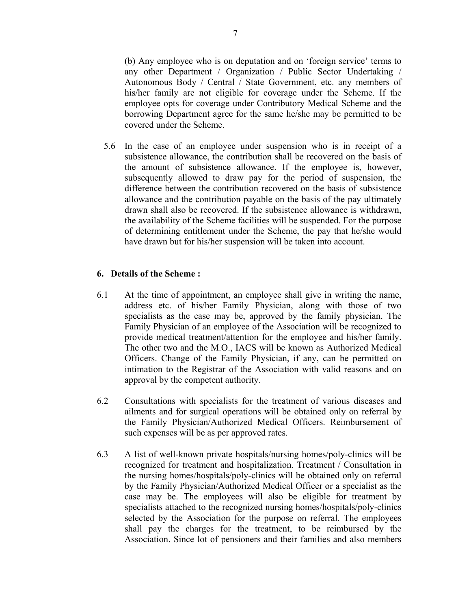(b) Any employee who is on deputation and on 'foreign service' terms to any other Department / Organization / Public Sector Undertaking / Autonomous Body / Central / State Government, etc. any members of his/her family are not eligible for coverage under the Scheme. If the employee opts for coverage under Contributory Medical Scheme and the borrowing Department agree for the same he/she may be permitted to be covered under the Scheme.

5.6 In the case of an employee under suspension who is in receipt of a subsistence allowance, the contribution shall be recovered on the basis of the amount of subsistence allowance. If the employee is, however, subsequently allowed to draw pay for the period of suspension, the difference between the contribution recovered on the basis of subsistence allowance and the contribution payable on the basis of the pay ultimately drawn shall also be recovered. If the subsistence allowance is withdrawn, the availability of the Scheme facilities will be suspended. For the purpose of determining entitlement under the Scheme, the pay that he/she would have drawn but for his/her suspension will be taken into account.

#### **6. Details of the Scheme :**

- 6.1 At the time of appointment, an employee shall give in writing the name, address etc. of his/her Family Physician, along with those of two specialists as the case may be, approved by the family physician. The Family Physician of an employee of the Association will be recognized to provide medical treatment/attention for the employee and his/her family. The other two and the M.O., IACS will be known as Authorized Medical Officers. Change of the Family Physician, if any, can be permitted on intimation to the Registrar of the Association with valid reasons and on approval by the competent authority.
- 6.2 Consultations with specialists for the treatment of various diseases and ailments and for surgical operations will be obtained only on referral by the Family Physician/Authorized Medical Officers. Reimbursement of such expenses will be as per approved rates.
- 6.3 A list of well-known private hospitals/nursing homes/poly-clinics will be recognized for treatment and hospitalization. Treatment / Consultation in the nursing homes/hospitals/poly-clinics will be obtained only on referral by the Family Physician/Authorized Medical Officer or a specialist as the case may be. The employees will also be eligible for treatment by specialists attached to the recognized nursing homes/hospitals/poly-clinics selected by the Association for the purpose on referral. The employees shall pay the charges for the treatment, to be reimbursed by the Association. Since lot of pensioners and their families and also members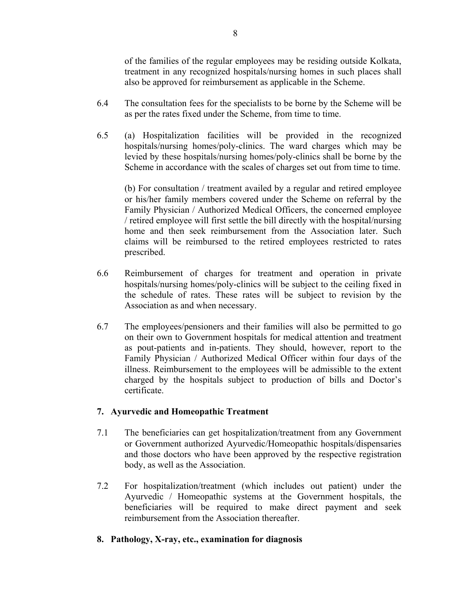of the families of the regular employees may be residing outside Kolkata, treatment in any recognized hospitals/nursing homes in such places shall also be approved for reimbursement as applicable in the Scheme.

- 6.4 The consultation fees for the specialists to be borne by the Scheme will be as per the rates fixed under the Scheme, from time to time.
- 6.5 (a) Hospitalization facilities will be provided in the recognized hospitals/nursing homes/poly-clinics. The ward charges which may be levied by these hospitals/nursing homes/poly-clinics shall be borne by the Scheme in accordance with the scales of charges set out from time to time.

(b) For consultation / treatment availed by a regular and retired employee or his/her family members covered under the Scheme on referral by the Family Physician / Authorized Medical Officers, the concerned employee / retired employee will first settle the bill directly with the hospital/nursing home and then seek reimbursement from the Association later. Such claims will be reimbursed to the retired employees restricted to rates prescribed.

- 6.6 Reimbursement of charges for treatment and operation in private hospitals/nursing homes/poly-clinics will be subject to the ceiling fixed in the schedule of rates. These rates will be subject to revision by the Association as and when necessary.
- 6.7 The employees/pensioners and their families will also be permitted to go on their own to Government hospitals for medical attention and treatment as pout-patients and in-patients. They should, however, report to the Family Physician / Authorized Medical Officer within four days of the illness. Reimbursement to the employees will be admissible to the extent charged by the hospitals subject to production of bills and Doctor's certificate.

# **7. Ayurvedic and Homeopathic Treatment**

- 7.1 The beneficiaries can get hospitalization/treatment from any Government or Government authorized Ayurvedic/Homeopathic hospitals/dispensaries and those doctors who have been approved by the respective registration body, as well as the Association.
- 7.2 For hospitalization/treatment (which includes out patient) under the Ayurvedic / Homeopathic systems at the Government hospitals, the beneficiaries will be required to make direct payment and seek reimbursement from the Association thereafter.
- **8. Pathology, X-ray, etc., examination for diagnosis**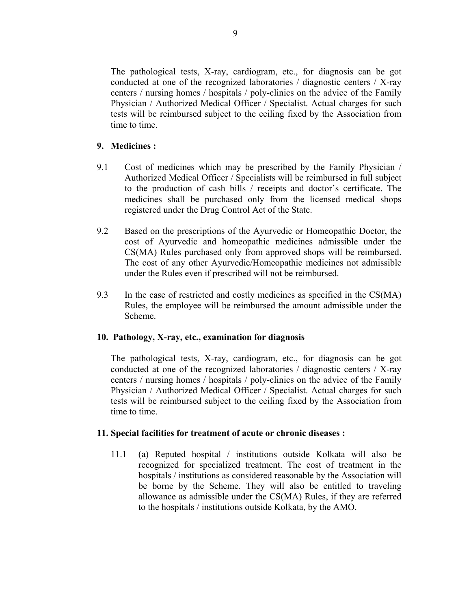The pathological tests, X-ray, cardiogram, etc., for diagnosis can be got conducted at one of the recognized laboratories / diagnostic centers / X-ray centers / nursing homes / hospitals / poly-clinics on the advice of the Family Physician / Authorized Medical Officer / Specialist. Actual charges for such tests will be reimbursed subject to the ceiling fixed by the Association from time to time.

## **9. Medicines :**

- 9.1 Cost of medicines which may be prescribed by the Family Physician / Authorized Medical Officer / Specialists will be reimbursed in full subject to the production of cash bills / receipts and doctor's certificate. The medicines shall be purchased only from the licensed medical shops registered under the Drug Control Act of the State.
- 9.2 Based on the prescriptions of the Ayurvedic or Homeopathic Doctor, the cost of Ayurvedic and homeopathic medicines admissible under the CS(MA) Rules purchased only from approved shops will be reimbursed. The cost of any other Ayurvedic/Homeopathic medicines not admissible under the Rules even if prescribed will not be reimbursed.
- 9.3 In the case of restricted and costly medicines as specified in the CS(MA) Rules, the employee will be reimbursed the amount admissible under the Scheme.

## **10. Pathology, X-ray, etc., examination for diagnosis**

The pathological tests, X-ray, cardiogram, etc., for diagnosis can be got conducted at one of the recognized laboratories / diagnostic centers / X-ray centers / nursing homes / hospitals / poly-clinics on the advice of the Family Physician / Authorized Medical Officer / Specialist. Actual charges for such tests will be reimbursed subject to the ceiling fixed by the Association from time to time.

## **11. Special facilities for treatment of acute or chronic diseases :**

11.1 (a) Reputed hospital / institutions outside Kolkata will also be recognized for specialized treatment. The cost of treatment in the hospitals / institutions as considered reasonable by the Association will be borne by the Scheme. They will also be entitled to traveling allowance as admissible under the CS(MA) Rules, if they are referred to the hospitals / institutions outside Kolkata, by the AMO.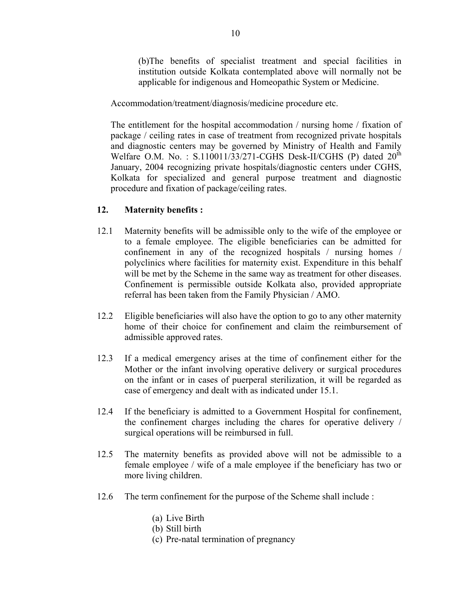(b)The benefits of specialist treatment and special facilities in institution outside Kolkata contemplated above will normally not be applicable for indigenous and Homeopathic System or Medicine.

Accommodation/treatment/diagnosis/medicine procedure etc.

The entitlement for the hospital accommodation / nursing home / fixation of package / ceiling rates in case of treatment from recognized private hospitals and diagnostic centers may be governed by Ministry of Health and Family Welfare O.M. No.: S.110011/33/271-CGHS Desk-II/CGHS (P) dated  $20^{th}$ January, 2004 recognizing private hospitals/diagnostic centers under CGHS, Kolkata for specialized and general purpose treatment and diagnostic procedure and fixation of package/ceiling rates.

# **12. Maternity benefits :**

- 12.1 Maternity benefits will be admissible only to the wife of the employee or to a female employee. The eligible beneficiaries can be admitted for confinement in any of the recognized hospitals / nursing homes / polyclinics where facilities for maternity exist. Expenditure in this behalf will be met by the Scheme in the same way as treatment for other diseases. Confinement is permissible outside Kolkata also, provided appropriate referral has been taken from the Family Physician / AMO.
- 12.2 Eligible beneficiaries will also have the option to go to any other maternity home of their choice for confinement and claim the reimbursement of admissible approved rates.
- 12.3 If a medical emergency arises at the time of confinement either for the Mother or the infant involving operative delivery or surgical procedures on the infant or in cases of puerperal sterilization, it will be regarded as case of emergency and dealt with as indicated under 15.1.
- 12.4 If the beneficiary is admitted to a Government Hospital for confinement, the confinement charges including the chares for operative delivery / surgical operations will be reimbursed in full.
- 12.5 The maternity benefits as provided above will not be admissible to a female employee / wife of a male employee if the beneficiary has two or more living children.
- 12.6 The term confinement for the purpose of the Scheme shall include :
	- (a) Live Birth
	- (b) Still birth
	- (c) Pre-natal termination of pregnancy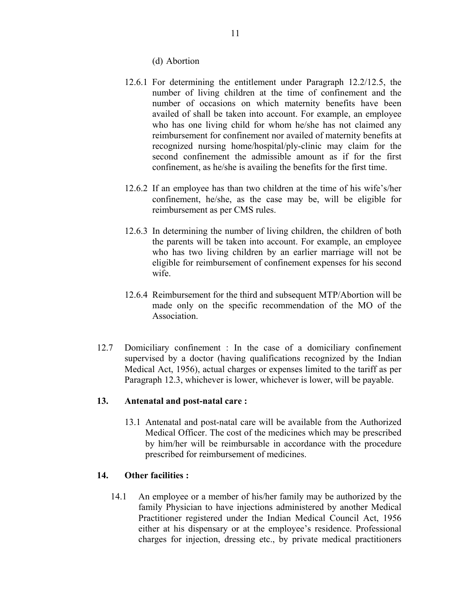(d) Abortion

- 12.6.1 For determining the entitlement under Paragraph 12.2/12.5, the number of living children at the time of confinement and the number of occasions on which maternity benefits have been availed of shall be taken into account. For example, an employee who has one living child for whom he/she has not claimed any reimbursement for confinement nor availed of maternity benefits at recognized nursing home/hospital/ply-clinic may claim for the second confinement the admissible amount as if for the first confinement, as he/she is availing the benefits for the first time.
- 12.6.2 If an employee has than two children at the time of his wife's/her confinement, he/she, as the case may be, will be eligible for reimbursement as per CMS rules.
- 12.6.3 In determining the number of living children, the children of both the parents will be taken into account. For example, an employee who has two living children by an earlier marriage will not be eligible for reimbursement of confinement expenses for his second wife.
- 12.6.4 Reimbursement for the third and subsequent MTP/Abortion will be made only on the specific recommendation of the MO of the **Association**
- 12.7 Domiciliary confinement : In the case of a domiciliary confinement supervised by a doctor (having qualifications recognized by the Indian Medical Act, 1956), actual charges or expenses limited to the tariff as per Paragraph 12.3, whichever is lower, whichever is lower, will be payable.

# **13. Antenatal and post-natal care :**

13.1 Antenatal and post-natal care will be available from the Authorized Medical Officer. The cost of the medicines which may be prescribed by him/her will be reimbursable in accordance with the procedure prescribed for reimbursement of medicines.

## **14. Other facilities :**

14.1 An employee or a member of his/her family may be authorized by the family Physician to have injections administered by another Medical Practitioner registered under the Indian Medical Council Act, 1956 either at his dispensary or at the employee's residence. Professional charges for injection, dressing etc., by private medical practitioners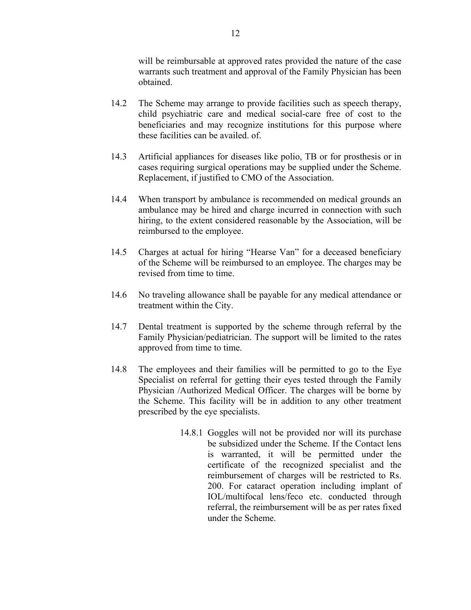will be reimbursable at approved rates provided the nature of the case warrants such treatment and approval of the Family Physician has been obtained.

- 14.2 The Scheme may arrange to provide facilities such as speech therapy, child psychiatric care and medical social-care free of cost to the beneficiaries and may recognize institutions for this purpose where these facilities can be availed. of.
- 14.3 Artificial appliances for diseases like polio, TB or for prosthesis or in cases requiring surgical operations may be supplied under the Scheme. Replacement, if justified to CMO of the Association.
- 14.4 When transport by ambulance is recommended on medical grounds an ambulance may be hired and charge incurred in connection with such hiring, to the extent considered reasonable by the Association, will be reimbursed to the employee.
- 14.5 Charges at actual for hiring "Hearse Van" for a deceased beneficiary of the Scheme will be reimbursed to an employee. The charges may be revised from time to time.
- 14.6 No traveling allowance shall be payable for any medical attendance or treatment within the City.
- 14.7 Dental treatment is supported by the scheme through referral by the Family Physician/pediatrician. The support will be limited to the rates approved from time to time.
- 14.8 The employees and their families will be permitted to go to the Eye Specialist on referral for getting their eyes tested through the Family Physician /Authorized Medical Officer. The charges will be borne by the Scheme. This facility will be in addition to any other treatment prescribed by the eye specialists.
	- 14.8.1 Goggles will not be provided nor will its purchase be subsidized under the Scheme. If the Contact lens is warranted, it will be permitted under the certificate of the recognized specialist and the reimbursement of charges will be restricted to Rs. 200. For cataract operation including implant of IOL/multifocal lens/feco etc. conducted through referral, the reimbursement will be as per rates fixed under the Scheme.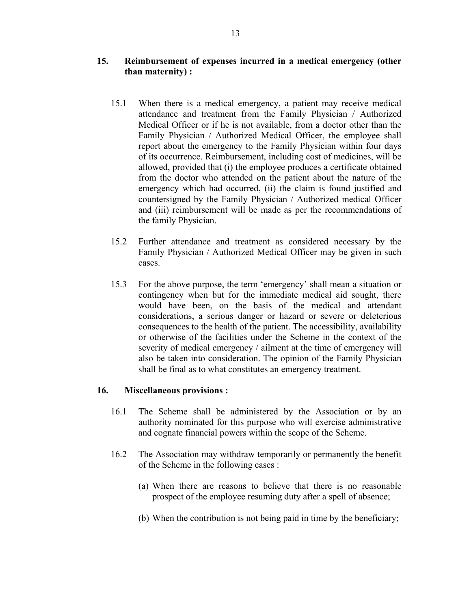# **15. Reimbursement of expenses incurred in a medical emergency (other than maternity) :**

- 15.1 When there is a medical emergency, a patient may receive medical attendance and treatment from the Family Physician / Authorized Medical Officer or if he is not available, from a doctor other than the Family Physician / Authorized Medical Officer, the employee shall report about the emergency to the Family Physician within four days of its occurrence. Reimbursement, including cost of medicines, will be allowed, provided that (i) the employee produces a certificate obtained from the doctor who attended on the patient about the nature of the emergency which had occurred, (ii) the claim is found justified and countersigned by the Family Physician / Authorized medical Officer and (iii) reimbursement will be made as per the recommendations of the family Physician.
- 15.2 Further attendance and treatment as considered necessary by the Family Physician / Authorized Medical Officer may be given in such cases.
- 15.3 For the above purpose, the term 'emergency' shall mean a situation or contingency when but for the immediate medical aid sought, there would have been, on the basis of the medical and attendant considerations, a serious danger or hazard or severe or deleterious consequences to the health of the patient. The accessibility, availability or otherwise of the facilities under the Scheme in the context of the severity of medical emergency / ailment at the time of emergency will also be taken into consideration. The opinion of the Family Physician shall be final as to what constitutes an emergency treatment.

## **16. Miscellaneous provisions :**

- 16.1 The Scheme shall be administered by the Association or by an authority nominated for this purpose who will exercise administrative and cognate financial powers within the scope of the Scheme.
- 16.2 The Association may withdraw temporarily or permanently the benefit of the Scheme in the following cases :
	- (a) When there are reasons to believe that there is no reasonable prospect of the employee resuming duty after a spell of absence;
	- (b) When the contribution is not being paid in time by the beneficiary;